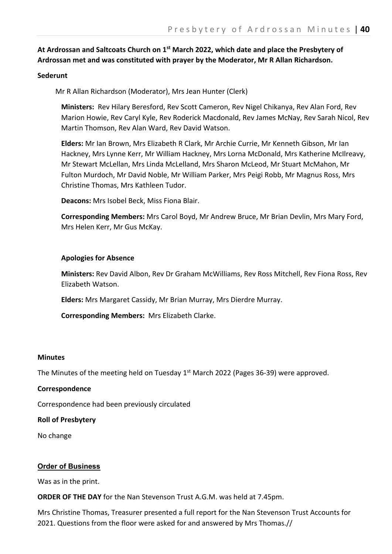## **At Ardrossan and Saltcoats Church on 1st March 2022, which date and place the Presbytery of Ardrossan met and was constituted with prayer by the Moderator, Mr R Allan Richardson.**

### **Sederunt**

Mr R Allan Richardson (Moderator), Mrs Jean Hunter (Clerk)

**Ministers:** Rev Hilary Beresford, Rev Scott Cameron, Rev Nigel Chikanya, Rev Alan Ford, Rev Marion Howie, Rev Caryl Kyle, Rev Roderick Macdonald, Rev James McNay, Rev Sarah Nicol, Rev Martin Thomson, Rev Alan Ward, Rev David Watson.

**Elders:** Mr Ian Brown, Mrs Elizabeth R Clark, Mr Archie Currie, Mr Kenneth Gibson, Mr Ian Hackney, Mrs Lynne Kerr, Mr William Hackney, Mrs Lorna McDonald, Mrs Katherine McIlreavy, Mr Stewart McLellan, Mrs Linda McLelland, Mrs Sharon McLeod, Mr Stuart McMahon, Mr Fulton Murdoch, Mr David Noble, Mr William Parker, Mrs Peigi Robb, Mr Magnus Ross, Mrs Christine Thomas, Mrs Kathleen Tudor.

**Deacons:** Mrs Isobel Beck, Miss Fiona Blair.

**Corresponding Members:** Mrs Carol Boyd, Mr Andrew Bruce, Mr Brian Devlin, Mrs Mary Ford, Mrs Helen Kerr, Mr Gus McKay.

### **Apologies for Absence**

**Ministers:** Rev David Albon, Rev Dr Graham McWilliams, Rev Ross Mitchell, Rev Fiona Ross, Rev Elizabeth Watson.

**Elders:** Mrs Margaret Cassidy, Mr Brian Murray, Mrs Dierdre Murray.

**Corresponding Members:** Mrs Elizabeth Clarke.

#### **Minutes**

The Minutes of the meeting held on Tuesday 1<sup>st</sup> March 2022 (Pages 36-39) were approved.

#### **Correspondence**

Correspondence had been previously circulated

### **Roll of Presbytery**

No change

#### **Order of Business**

Was as in the print.

**ORDER OF THE DAY** for the Nan Stevenson Trust A.G.M. was held at 7.45pm.

Mrs Christine Thomas, Treasurer presented a full report for the Nan Stevenson Trust Accounts for 2021. Questions from the floor were asked for and answered by Mrs Thomas.//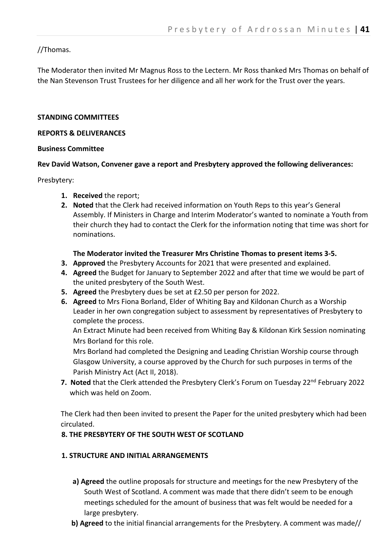## //Thomas.

The Moderator then invited Mr Magnus Ross to the Lectern. Mr Ross thanked Mrs Thomas on behalf of the Nan Stevenson Trust Trustees for her diligence and all her work for the Trust over the years.

### **STANDING COMMITTEES**

#### **REPORTS & DELIVERANCES**

#### **Business Committee**

### **Rev David Watson, Convener gave a report and Presbytery approved the following deliverances:**

Presbytery:

- **1. Received** the report;
- **2. Noted** that the Clerk had received information on Youth Reps to this year's General Assembly. If Ministers in Charge and Interim Moderator's wanted to nominate a Youth from their church they had to contact the Clerk for the information noting that time was short for nominations.

### **The Moderator invited the Treasurer Mrs Christine Thomas to present items 3-5.**

- **3. Approved** the Presbytery Accounts for 2021 that were presented and explained.
- **4. Agreed** the Budget for January to September 2022 and after that time we would be part of the united presbytery of the South West.
- **5. Agreed** the Presbytery dues be set at £2.50 per person for 2022.
- **6. Agreed** to Mrs Fiona Borland, Elder of Whiting Bay and Kildonan Church as a Worship Leader in her own congregation subject to assessment by representatives of Presbytery to complete the process.

An Extract Minute had been received from Whiting Bay & Kildonan Kirk Session nominating Mrs Borland for this role.

Mrs Borland had completed the Designing and Leading Christian Worship course through Glasgow University, a course approved by the Church for such purposes in terms of the Parish Ministry Act (Act II, 2018).

**7. Noted** that the Clerk attended the Presbytery Clerk's Forum on Tuesday 22<sup>nd</sup> February 2022 which was held on Zoom.

The Clerk had then been invited to present the Paper for the united presbytery which had been circulated.

### **8. THE PRESBYTERY OF THE SOUTH WEST OF SCOTLAND**

## **1. STRUCTURE AND INITIAL ARRANGEMENTS**

- **a) Agreed** the outline proposals for structure and meetings for the new Presbytery of the South West of Scotland. A comment was made that there didn't seem to be enough meetings scheduled for the amount of business that was felt would be needed for a large presbytery.
- **b) Agreed** to the initial financial arrangements for the Presbytery. A comment was made//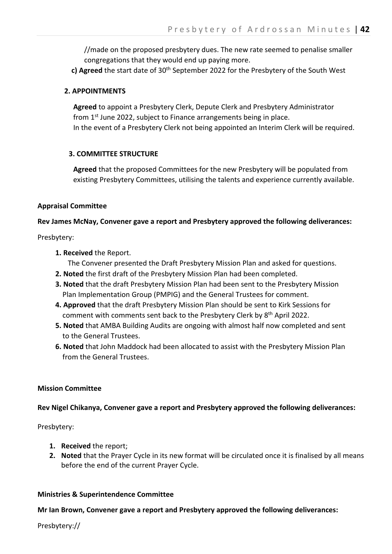//made on the proposed presbytery dues. The new rate seemed to penalise smaller congregations that they would end up paying more.

**c) Agreed** the start date of 30th September 2022 for the Presbytery of the South West

### **2. APPOINTMENTS**

 **Agreed** to appoint a Presbytery Clerk, Depute Clerk and Presbytery Administrator from  $1<sup>st</sup>$  June 2022, subject to Finance arrangements being in place. In the event of a Presbytery Clerk not being appointed an Interim Clerk will be required.

### **3. COMMITTEE STRUCTURE**

 **Agreed** that the proposed Committees for the new Presbytery will be populated from existing Presbytery Committees, utilising the talents and experience currently available.

### **Appraisal Committee**

### **Rev James McNay, Convener gave a report and Presbytery approved the following deliverances:**

Presbytery:

 **1. Received** the Report.

The Convener presented the Draft Presbytery Mission Plan and asked for questions.

- **2. Noted** the first draft of the Presbytery Mission Plan had been completed.
- **3. Noted** that the draft Presbytery Mission Plan had been sent to the Presbytery Mission Plan Implementation Group (PMPIG) and the General Trustees for comment.
- **4. Approved** that the draft Presbytery Mission Plan should be sent to Kirk Sessions for comment with comments sent back to the Presbytery Clerk by 8<sup>th</sup> April 2022.
- **5. Noted** that AMBA Building Audits are ongoing with almost half now completed and sent to the General Trustees.
- **6. Noted** that John Maddock had been allocated to assist with the Presbytery Mission Plan from the General Trustees.

#### **Mission Committee**

### **Rev Nigel Chikanya, Convener gave a report and Presbytery approved the following deliverances:**

Presbytery:

- **1. Received** the report;
- **2. Noted** that the Prayer Cycle in its new format will be circulated once it is finalised by all means before the end of the current Prayer Cycle.

#### **Ministries & Superintendence Committee**

### **Mr Ian Brown, Convener gave a report and Presbytery approved the following deliverances:**

Presbytery://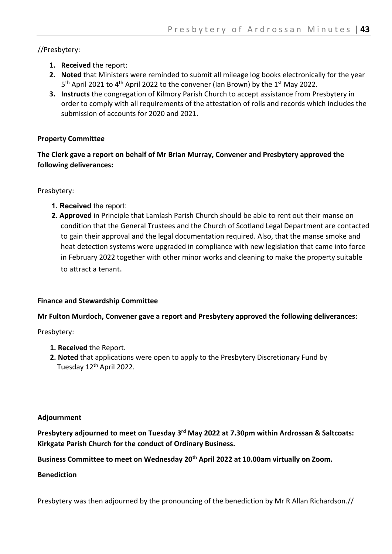//Presbytery:

- **1. Received** the report:
- **2. Noted** that Ministers were reminded to submit all mileage log books electronically for the year  $5<sup>th</sup>$  April 2021 to 4<sup>th</sup> April 2022 to the convener (Ian Brown) by the 1<sup>st</sup> May 2022.
- **3. Instructs** the congregation of Kilmory Parish Church to accept assistance from Presbytery in order to comply with all requirements of the attestation of rolls and records which includes the submission of accounts for 2020 and 2021.

## **Property Committee**

**The Clerk gave a report on behalf of Mr Brian Murray, Convener and Presbytery approved the following deliverances:**

Presbytery:

- **1. Received** the report:
- **2. Approved** in Principle that Lamlash Parish Church should be able to rent out their manse on condition that the General Trustees and the Church of Scotland Legal Department are contacted to gain their approval and the legal documentation required. Also, that the manse smoke and heat detection systems were upgraded in compliance with new legislation that came into force in February 2022 together with other minor works and cleaning to make the property suitable to attract a tenant.

## **Finance and Stewardship Committee**

## **Mr Fulton Murdoch, Convener gave a report and Presbytery approved the following deliverances:**

Presbytery:

- **1. Received** the Report.
- **2. Noted** that applications were open to apply to the Presbytery Discretionary Fund by Tuesday 12th April 2022.

## **Adjournment**

**Presbytery adjourned to meet on Tuesday 3rd May 2022 at 7.30pm within Ardrossan & Saltcoats: Kirkgate Parish Church for the conduct of Ordinary Business.**

**Business Committee to meet on Wednesday 20th April 2022 at 10.00am virtually on Zoom.**

## **Benediction**

Presbytery was then adjourned by the pronouncing of the benediction by Mr R Allan Richardson.//